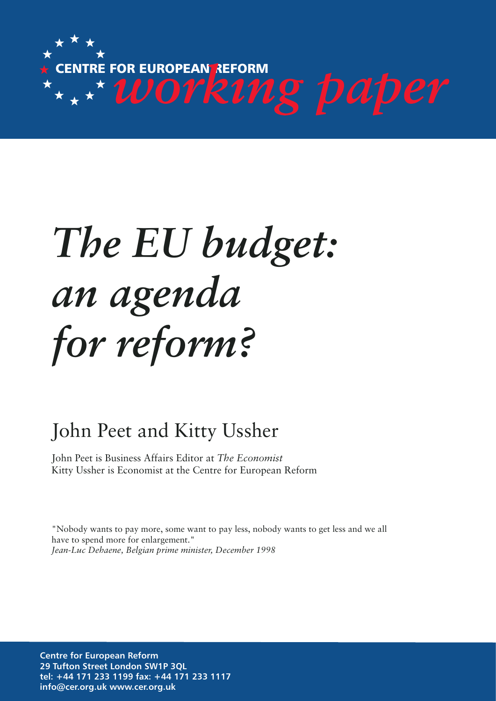

# *The EU budget: an agenda for reform?*

# John Peet and Kitty Ussher

John Peet is Business Affairs Editor at *The Economist*  Kitty Ussher is Economist at the Centre for European Reform

"Nobody wants to pay more, some want to pay less, nobody wants to get less and we all have to spend more for enlargement." *Jean-Luc Dehaene, Belgian prime minister, December 1998*

**Centre for European Reform 29 Tufton Street London SW1P 3QL tel: +44 171 233 1199 fax: +44 171 233 1117 info@cer.org.uk www.cer.org.uk**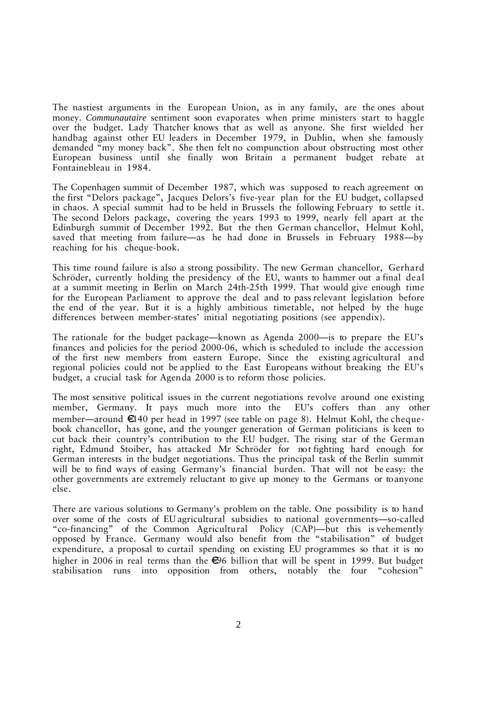The nastiest arguments in the European Union, as in any family, are the ones about money. *Communautaire* sentiment soon evaporates when prime ministers start to haggle over the budget. Lady Thatcher knows that as well as anyone. She first wielded her handbag against other EU leaders in December 1979, in Dublin, when she famously demanded "my money back". She then felt no compunction about obstructing most other European business until she finally won Britain a permanent budget rebate at Fontainebleau in 1984.

The Copenhagen summit of December 1987, which was supposed to reach agreement on the first "Delors package", Jacques Delors's five-year plan for the EU budget, collapsed in chaos. A special summit had to be held in Brussels the following February to settle it. The second Delors package, covering the years 1993 to 1999, nearly fell apart at the Edinburgh summit of December 1992. But the then German chancellor, Helmut Kohl, saved that meeting from failure—as he had done in Brussels in February 1988—by reaching for his cheque-book.

This time round failure is also a strong possibility. The new German chancellor, Gerhard Schröder, currently holding the presidency of the EU, wants to hammer out a final deal at a summit meeting in Berlin on March 24th-25th 1999. That would give enough time for the European Parliament to approve the deal and to pass relevant legislation before the end of the year. But it is a highly ambitious timetable, not helped by the huge differences between member-states' initial negotiating positions (see appendix).

The rationale for the budget package—known as Agenda 2000—is to prepare the EU's finances and policies for the period 2000-06, which is scheduled to include the accession of the first new members from eastern Europe. Since the existing agricultural and regional policies could not be applied to the East Europeans without breaking the EU's budget, a crucial task for Agenda 2000 is to reform those policies.

The most sensitive political issues in the current negotiations revolve around one existing member, Germany. It pays much more into the EU's coffers than any other member—around  $\epsilon$ 140 per head in 1997 (see table on page 8). Helmut Kohl, the chequebook chancellor, has gone, and the younger generation of German politicians is keen to cut back their country's contribution to the EU budget. The rising star of the German right, Edmund Stoiber, has attacked Mr Schröder for not fighting hard enough for German interests in the budget negotiations. Thus the principal task of the Berlin summit will be to find ways of easing Germany's financial burden. That will not be easy: the other governments are extremely reluctant to give up money to the Germans or to anyone else.

There are various solutions to Germany's problem on the table. One possibility is to hand over some of the costs of EU agricultural subsidies to national governments—so-called "co-financing" of the Common Agricultural Policy (CAP)—but this is vehemently opposed by France. Germany would also benefit from the "stabilisation" of budget expenditure, a proposal to curtail spending on existing EU programmes so that it is no higher in 2006 in real terms than the  $\bigoplus$ 6 billion that will be spent in 1999. But budget stabilisation runs into opposition from others, notably the four "cohesion"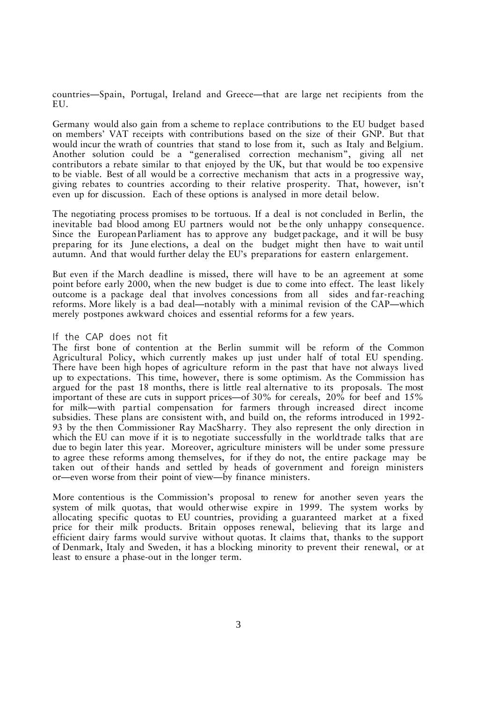countries—Spain, Portugal, Ireland and Greece—that are large net recipients from the EU.

Germany would also gain from a scheme to replace contributions to the EU budget based on members' VAT receipts with contributions based on the size of their GNP. But that would incur the wrath of countries that stand to lose from it, such as Italy and Belgium. Another solution could be a "generalised correction mechanism", giving all net contributors a rebate similar to that enjoyed by the UK, but that would be too expensive to be viable. Best of all would be a corrective mechanism that acts in a progressive way, giving rebates to countries according to their relative prosperity. That, however, isn't even up for discussion. Each of these options is analysed in more detail below.

The negotiating process promises to be tortuous. If a deal is not concluded in Berlin, the inevitable bad blood among EU partners would not be the only unhappy consequence. Since the European Parliament has to approve any budget package, and it will be busy preparing for its June elections, a deal on the budget might then have to wait until autumn. And that would further delay the EU's preparations for eastern enlargement.

But even if the March deadline is missed, there will have to be an agreement at some point before early 2000, when the new budget is due to come into effect. The least likely outcome is a package deal that involves concessions from all sides and far-reaching reforms. More likely is a bad deal—notably with a minimal revision of the CAP—which merely postpones awkward choices and essential reforms for a few years.

### If the CAP does not fit

The first bone of contention at the Berlin summit will be reform of the Common Agricultural Policy, which currently makes up just under half of total EU spending. There have been high hopes of agriculture reform in the past that have not always lived up to expectations. This time, however, there is some optimism. As the Commission has argued for the past 18 months, there is little real alternative to its proposals. The most important of these are cuts in support prices—of 30% for cereals, 20% for beef and 15% for milk—with partial compensation for farmers through increased direct income subsidies. These plans are consistent with, and build on, the reforms introduced in 1992- 93 by the then Commissioner Ray MacSharry. They also represent the only direction in which the EU can move if it is to negotiate successfully in the world trade talks that are due to begin later this year. Moreover, agriculture ministers will be under some pressure to agree these reforms among themselves, for if they do not, the entire package may be taken out of their hands and settled by heads of government and foreign ministers or—even worse from their point of view—by finance ministers.

More contentious is the Commission's proposal to renew for another seven years the system of milk quotas, that would otherwise expire in 1999. The system works by allocating specific quotas to EU countries, providing a guaranteed market at a fixed price for their milk products. Britain opposes renewal, believing that its large and efficient dairy farms would survive without quotas. It claims that, thanks to the support of Denmark, Italy and Sweden, it has a blocking minority to prevent their renewal, or at least to ensure a phase-out in the longer term.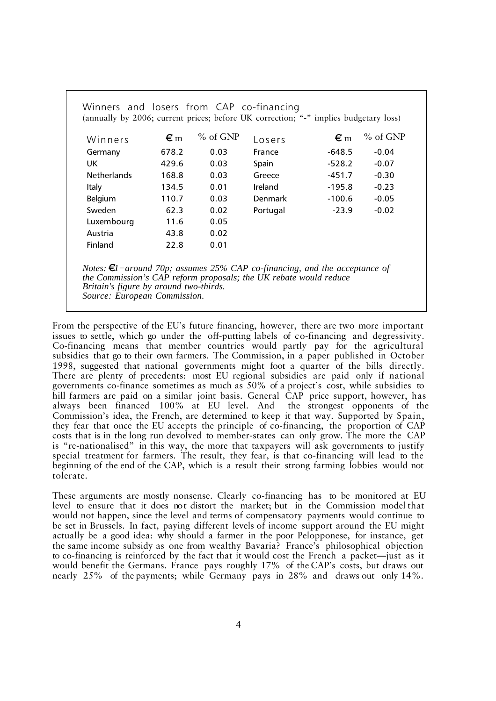| Winners and losers from CAP co-financing<br>(annually by 2006; current prices; before UK correction; "-" implies budgetary loss) |                    |            |          |                 |            |  |  |  |  |
|----------------------------------------------------------------------------------------------------------------------------------|--------------------|------------|----------|-----------------|------------|--|--|--|--|
| Winners                                                                                                                          | $\epsilon_{\rm m}$ | $%$ of GNP | Losers   | $\varepsilon$ m | $%$ of GNP |  |  |  |  |
| Germany                                                                                                                          | 678.2              | 0.03       | France   | -648.5          | $-0.04$    |  |  |  |  |
| UK.                                                                                                                              | 429.6              | 0.03       | Spain    | $-528.2$        | $-0.07$    |  |  |  |  |
| <b>Netherlands</b>                                                                                                               | 168.8              | 0.03       | Greece   | $-451.7$        | $-0.30$    |  |  |  |  |
| Italy                                                                                                                            | 134.5              | 0.01       | Ireland  | $-195.8$        | $-0.23$    |  |  |  |  |
| Belgium                                                                                                                          | 110.7              | 0.03       | Denmark  | $-100.6$        | $-0.05$    |  |  |  |  |
| Sweden                                                                                                                           | 62.3               | 0.02       | Portugal | $-23.9$         | $-0.02$    |  |  |  |  |
| Luxembourg                                                                                                                       | 11.6               | 0.05       |          |                 |            |  |  |  |  |
| Austria                                                                                                                          | 43.8               | 0.02       |          |                 |            |  |  |  |  |
| Finland                                                                                                                          | 22.8               | 0.01       |          |                 |            |  |  |  |  |
|                                                                                                                                  |                    |            |          |                 |            |  |  |  |  |

*Notes:*  $\epsilon I$  = around 70p; assumes 25% CAP co-financing, and the acceptance of *the Commission's CAP reform proposals; the UK rebate would reduce Britain's figure by around two-thirds. Source: European Commission.*

From the perspective of the EU's future financing, however, there are two more important issues to settle, which go under the off-putting labels of co-financing and degressivity. Co-financing means that member countries would partly pay for the agricultural subsidies that go to their own farmers. The Commission, in a paper published in October 1998, suggested that national governments might foot a quarter of the bills directly. There are plenty of precedents: most EU regional subsidies are paid only if national governments co-finance sometimes as much as 50% of a project's cost, while subsidies to hill farmers are paid on a similar joint basis. General CAP price support, however, has always been financed 100% at EU level. And the strongest opponents of the Commission's idea, the French, are determined to keep it that way. Supported by Spain, they fear that once the EU accepts the principle of co-financing, the proportion of CAP costs that is in the long run devolved to member-states can only grow. The more the CAP is "re-nationalised" in this way, the more that taxpayers will ask governments to justify special treatment for farmers. The result, they fear, is that co-financing will lead to the beginning of the end of the CAP, which is a result their strong farming lobbies would not tolerate.

These arguments are mostly nonsense. Clearly co-financing has to be monitored at EU level to ensure that it does not distort the market; but in the Commission model that would not happen, since the level and terms of compensatory payments would continue to be set in Brussels. In fact, paying different levels of income support around the EU might actually be a good idea: why should a farmer in the poor Pelopponese, for instance, get the same income subsidy as one from wealthy Bavaria? France's philosophical objection to co-financing is reinforced by the fact that it would cost the French a packet—just as it would benefit the Germans. France pays roughly 17% of the CAP's costs, but draws out nearly 25% of the payments; while Germany pays in 28% and draws out only 14%.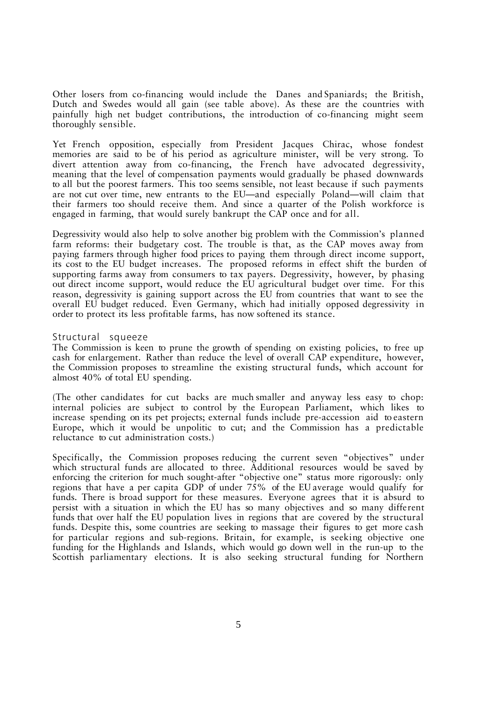Other losers from co-financing would include the Danes and Spaniards; the British, Dutch and Swedes would all gain (see table above). As these are the countries with painfully high net budget contributions, the introduction of co-financing might seem thoroughly sensible.

Yet French opposition, especially from President Jacques Chirac, whose fondest memories are said to be of his period as agriculture minister, will be very strong. To divert attention away from co-financing, the French have advocated degressivity, meaning that the level of compensation payments would gradually be phased downwards to all but the poorest farmers. This too seems sensible, not least because if such payments are not cut over time, new entrants to the EU—and especially Poland—will claim that their farmers too should receive them. And since a quarter of the Polish workforce is engaged in farming, that would surely bankrupt the CAP once and for all.

Degressivity would also help to solve another big problem with the Commission's planned farm reforms: their budgetary cost. The trouble is that, as the CAP moves away from paying farmers through higher food prices to paying them through direct income support, its cost to the EU budget increases. The proposed reforms in effect shift the burden of supporting farms away from consumers to tax payers. Degressivity, however, by phasing out direct income support, would reduce the EU agricultural budget over time. For this reason, degressivity is gaining support across the EU from countries that want to see the overall EU budget reduced. Even Germany, which had initially opposed degressivity in order to protect its less profitable farms, has now softened its stance.

### Structural squeeze

The Commission is keen to prune the growth of spending on existing policies, to free up cash for enlargement. Rather than reduce the level of overall CAP expenditure, however, the Commission proposes to streamline the existing structural funds, which account for almost 40% of total EU spending.

(The other candidates for cut backs are much smaller and anyway less easy to chop: internal policies are subject to control by the European Parliament, which likes to increase spending on its pet projects; external funds include pre-accession aid to eastern Europe, which it would be unpolitic to cut; and the Commission has a predictable reluctance to cut administration costs.)

Specifically, the Commission proposes reducing the current seven "objectives" under which structural funds are allocated to three. Additional resources would be saved by enforcing the criterion for much sought-after "objective one" status more rigorously: only regions that have a per capita GDP of under 75% of the EU average would qualify for funds. There is broad support for these measures. Everyone agrees that it is absurd to persist with a situation in which the EU has so many objectives and so many different funds that over half the EU population lives in regions that are covered by the structural funds. Despite this, some countries are seeking to massage their figures to get more cash for particular regions and sub-regions. Britain, for example, is seeking objective one funding for the Highlands and Islands, which would go down well in the run-up to the Scottish parliamentary elections. It is also seeking structural funding for Northern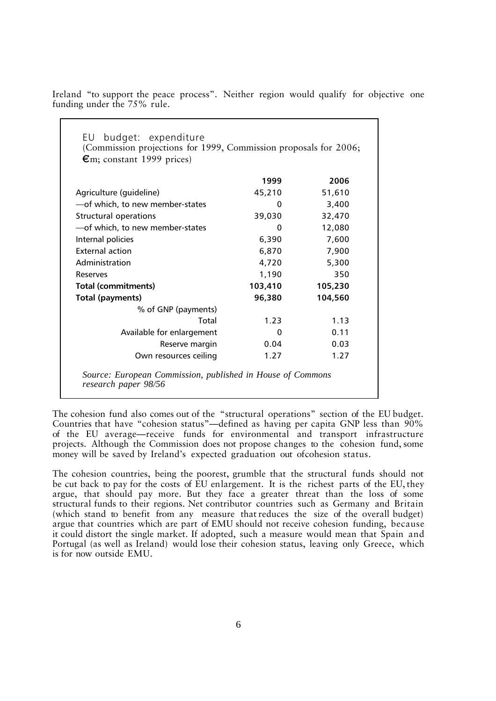Ireland "to support the peace process". Neither region would qualify for objective one funding under the 75% rule.

| budget: expenditure<br>EU<br>(Commission projections for 1999, Commission proposals for 2006;<br>$\epsilon$ m; constant 1999 prices) |         |         |
|--------------------------------------------------------------------------------------------------------------------------------------|---------|---------|
|                                                                                                                                      | 1999    | 2006    |
| Agriculture (guideline)                                                                                                              | 45,210  | 51,610  |
| -of which, to new member-states                                                                                                      | 0       | 3,400   |
| <b>Structural operations</b>                                                                                                         | 39,030  | 32,470  |
| -of which, to new member-states                                                                                                      | 0       | 12,080  |
| Internal policies                                                                                                                    | 6,390   | 7,600   |
| <b>External action</b>                                                                                                               | 6,870   | 7,900   |
| Administration                                                                                                                       | 4,720   | 5,300   |
| Reserves                                                                                                                             | 1,190   | 350     |
| <b>Total (commitments)</b>                                                                                                           | 103,410 | 105,230 |
| Total (payments)                                                                                                                     | 96,380  | 104,560 |
| % of GNP (payments)                                                                                                                  |         |         |
| Total                                                                                                                                | 1.23    | 1.13    |
| Available for enlargement                                                                                                            | 0       | 0.11    |
| Reserve margin                                                                                                                       | 0.04    | 0.03    |
| Own resources ceiling                                                                                                                | 1.27    | 1.27    |

*research paper 98/56*

The cohesion fund also comes out of the "structural operations" section of the EU budget. Countries that have "cohesion status"—defined as having per capita GNP less than 90% of the EU average—receive funds for environmental and transport infrastructure projects. Although the Commission does not propose changes to the cohesion fund, some money will be saved by Ireland's expected graduation out of cohesion status.

The cohesion countries, being the poorest, grumble that the structural funds should not be cut back to pay for the costs of EU enlargement. It is the richest parts of the EU, they argue, that should pay more. But they face a greater threat than the loss of some structural funds to their regions. Net contributor countries such as Germany and Britain (which stand to benefit from any measure that reduces the size of the overall budget) argue that countries which are part of EMU should not receive cohesion funding, because it could distort the single market. If adopted, such a measure would mean that Spain and Portugal (as well as Ireland) would lose their cohesion status, leaving only Greece, which is for now outside EMU.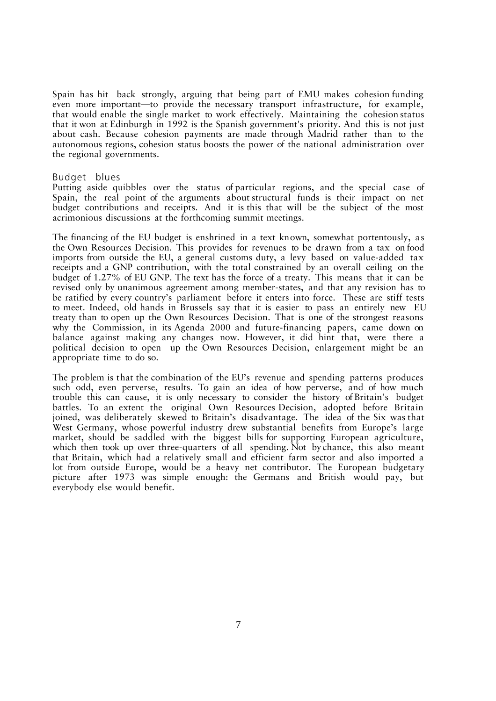Spain has hit back strongly, arguing that being part of EMU makes cohesion funding even more important—to provide the necessary transport infrastructure, for example, that would enable the single market to work effectively. Maintaining the cohesion status that it won at Edinburgh in 1992 is the Spanish government's priority. And this is not just about cash. Because cohesion payments are made through Madrid rather than to the autonomous regions, cohesion status boosts the power of the national administration over the regional governments.

#### Budget blues

Putting aside quibbles over the status of particular regions, and the special case of Spain, the real point of the arguments about structural funds is their impact on net budget contributions and receipts. And it is this that will be the subject of the most acrimonious discussions at the forthcoming summit meetings.

The financing of the EU budget is enshrined in a text known, somewhat portentously, as the Own Resources Decision. This provides for revenues to be drawn from a tax on food imports from outside the EU, a general customs duty, a levy based on value-added tax receipts and a GNP contribution, with the total constrained by an overall ceiling on the budget of 1.27% of EU GNP. The text has the force of a treaty. This means that it can be revised only by unanimous agreement among member-states, and that any revision has to be ratified by every country's parliament before it enters into force. These are stiff tests to meet. Indeed, old hands in Brussels say that it is easier to pass an entirely new EU treaty than to open up the Own Resources Decision. That is one of the strongest reasons why the Commission, in its Agenda 2000 and future-financing papers, came down on balance against making any changes now. However, it did hint that, were there a political decision to open up the Own Resources Decision, enlargement might be an appropriate time to do so.

The problem is that the combination of the EU's revenue and spending patterns produces such odd, even perverse, results. To gain an idea of how perverse, and of how much trouble this can cause, it is only necessary to consider the history of Britain's budget battles. To an extent the original Own Resources Decision, adopted before Britain joined, was deliberately skewed to Britain's disadvantage. The idea of the Six was that West Germany, whose powerful industry drew substantial benefits from Europe's large market, should be saddled with the biggest bills for supporting European agriculture, which then took up over three-quarters of all spending. Not by chance, this also meant that Britain, which had a relatively small and efficient farm sector and also imported a lot from outside Europe, would be a heavy net contributor. The European budgetary picture after 1973 was simple enough: the Germans and British would pay, but everybody else would benefit.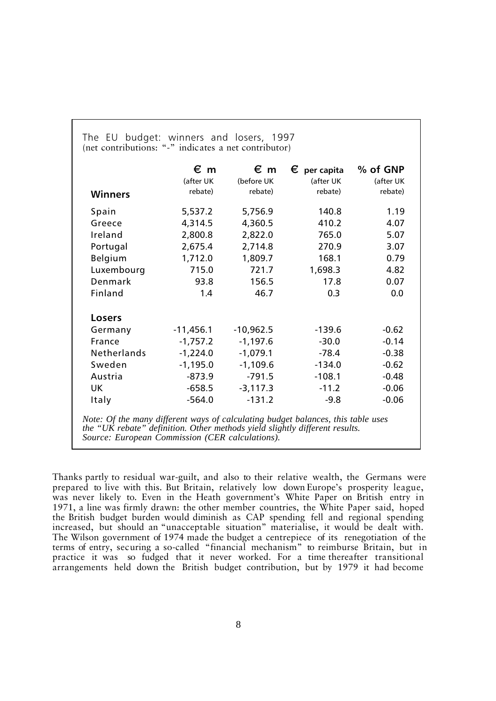|                | $\epsilon$ m | $\epsilon$ m | $\epsilon$ per capita | % of GNP  |
|----------------|--------------|--------------|-----------------------|-----------|
|                | (after UK    | (before UK   | (after UK             | (after UK |
| <b>Winners</b> | rebate)      | rebate)      | rebate)               | rebate)   |
| Spain          | 5,537.2      | 5,756.9      | 140.8                 | 1.19      |
| Greece         | 4,314.5      | 4,360.5      | 410.2                 | 4.07      |
| Ireland        | 2,800.8      | 2,822.0      | 765.0                 | 5.07      |
| Portugal       | 2,675.4      | 2,714.8      | 270.9                 | 3.07      |
| Belgium        | 1,712.0      | 1,809.7      | 168.1                 | 0.79      |
| Luxembourg     | 715.0        | 721.7        | 1,698.3               | 4.82      |
| Denmark        | 93.8         | 156.5        | 17.8                  | 0.07      |
| Finland        | 1.4          | 46.7         | 0.3                   | 0.0       |
| <b>Losers</b>  |              |              |                       |           |
| Germany        | $-11,456.1$  | $-10,962.5$  | $-139.6$              | $-0.62$   |
| France         | $-1,757.2$   | $-1,197.6$   | $-30.0$               | $-0.14$   |
| Netherlands    | $-1,224.0$   | $-1,079.1$   | $-78.4$               | $-0.38$   |
| Sweden         | $-1,195.0$   | $-1,109.6$   | $-134.0$              | $-0.62$   |
| Austria        | $-873.9$     | $-791.5$     | $-108.1$              | $-0.48$   |
| UK.            | $-658.5$     | $-3,117.3$   | $-11.2$               | $-0.06$   |
| <b>Italy</b>   | $-564.0$     | $-131.2$     | $-9.8$                | $-0.06$   |

The EU budget: winners and losers, 1997 (net contributions: "-" indicates a net contributor)

Thanks partly to residual war-guilt, and also to their relative wealth, the Germans were prepared to live with this. But Britain, relatively low down Europe's prosperity league, was never likely to. Even in the Heath government's White Paper on British entry in 1971, a line was firmly drawn: the other member countries, the White Paper said, hoped the British budget burden would diminish as CAP spending fell and regional spending increased, but should an "unacceptable situation" materialise, it would be dealt with. The Wilson government of 1974 made the budget a centrepiece of its renegotiation of the terms of entry, securing a so-called "financial mechanism" to reimburse Britain, but in practice it was so fudged that it never worked. For a time thereafter transitional arrangements held down the British budget contribution, but by 1979 it had become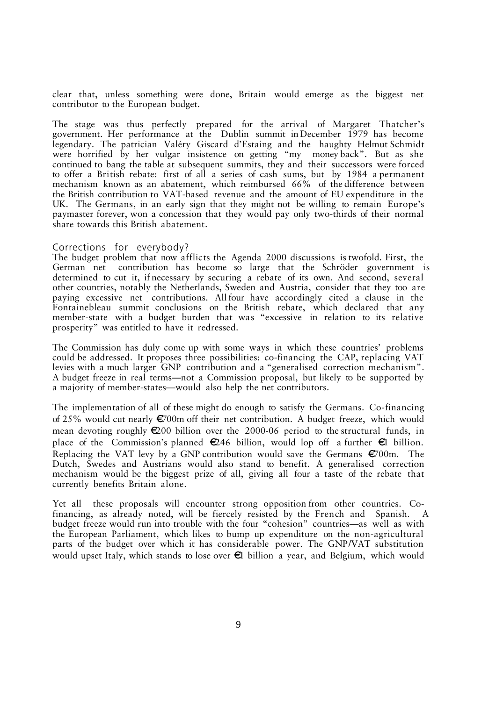clear that, unless something were done, Britain would emerge as the biggest net contributor to the European budget.

The stage was thus perfectly prepared for the arrival of Margaret Thatcher's government. Her performance at the Dublin summit in December 1979 has become legendary. The patrician Valéry Giscard d'Estaing and the haughty Helmut Schmidt were horrified by her vulgar insistence on getting "my money back". But as she continued to bang the table at subsequent summits, they and their successors were forced to offer a British rebate: first of all a series of cash sums, but by 1984 a permanent mechanism known as an abatement, which reimbursed 66% of the difference between the British contribution to VAT-based revenue and the amount of EU expenditure in the UK. The Germans, in an early sign that they might not be willing to remain Europe's paymaster forever, won a concession that they would pay only two-thirds of their normal share towards this British abatement.

#### Corrections for everybody?

The budget problem that now afflicts the Agenda 2000 discussions is twofold. First, the German net contribution has become so large that the Schröder government is determined to cut it, if necessary by securing a rebate of its own. And second, several other countries, notably the Netherlands, Sweden and Austria, consider that they too are paying excessive net contributions. All four have accordingly cited a clause in the Fontainebleau summit conclusions on the British rebate, which declared that any member-state with a budget burden that was "excessive in relation to its relative prosperity" was entitled to have it redressed.

The Commission has duly come up with some ways in which these countries' problems could be addressed. It proposes three possibilities: co-financing the CAP, replacing VAT levies with a much larger GNP contribution and a "generalised correction mechanism". A budget freeze in real terms—not a Commission proposal, but likely to be supported by a majority of member-states—would also help the net contributors.

The implementation of all of these might do enough to satisfy the Germans. Co-financing of 25% would cut nearly  $E$ 700m off their net contribution. A budget freeze, which would mean devoting roughly  $\epsilon 200$  billion over the 2000-06 period to the structural funds, in place of the Commission's planned  $\epsilon$ 246 billion, would lop off a further  $\epsilon$ l billion. Replacing the VAT levy by a GNP contribution would save the Germans  $\epsilon$ 700m. The Dutch, Swedes and Austrians would also stand to benefit. A generalised correction mechanism would be the biggest prize of all, giving all four a taste of the rebate that currently benefits Britain alone.

Yet all these proposals will encounter strong opposition from other countries. Cofinancing, as already noted, will be fiercely resisted by the French and Spanish. budget freeze would run into trouble with the four "cohesion" countries—as well as with the European Parliament, which likes to bump up expenditure on the non-agricultural parts of the budget over which it has considerable power. The GNP/VAT substitution would upset Italy, which stands to lose over  $\epsilon$  billion a year, and Belgium, which would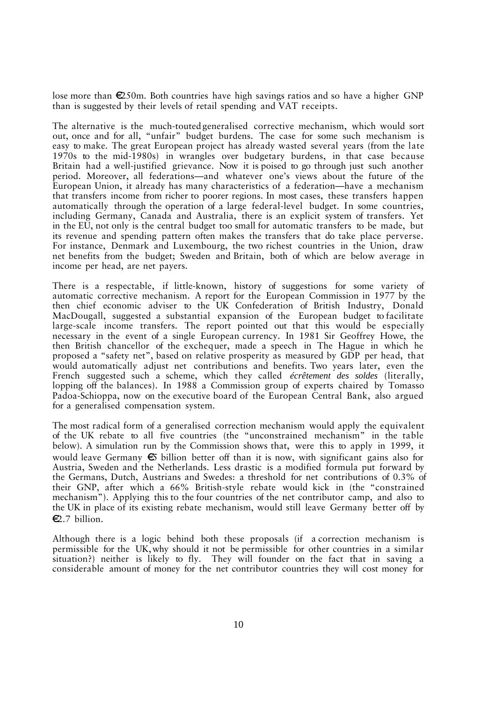lose more than  $\epsilon$ 250m. Both countries have high savings ratios and so have a higher GNP than is suggested by their levels of retail spending and VAT receipts.

The alternative is the much-touted generalised corrective mechanism, which would sort out, once and for all, "unfair" budget burdens. The case for some such mechanism is easy to make. The great European project has already wasted several years (from the late 1970s to the mid-1980s) in wrangles over budgetary burdens, in that case because Britain had a well-justified grievance. Now it is poised to go through just such another period. Moreover, all federations—and whatever one's views about the future of the European Union, it already has many characteristics of a federation—have a mechanism that transfers income from richer to poorer regions. In most cases, these transfers happen automatically through the operation of a large federal-level budget. In some countries, including Germany, Canada and Australia, there is an explicit system of transfers. Yet in the EU, not only is the central budget too small for automatic transfers to be made, but its revenue and spending pattern often makes the transfers that do take place perverse. For instance, Denmark and Luxembourg, the two richest countries in the Union, draw net benefits from the budget; Sweden and Britain, both of which are below average in income per head, are net payers.

There is a respectable, if little-known, history of suggestions for some variety of automatic corrective mechanism. A report for the European Commission in 1977 by the then chief economic adviser to the UK Confederation of British Industry, Donald MacDougall, suggested a substantial expansion of the European budget to facilitate large-scale income transfers. The report pointed out that this would be especially necessary in the event of a single European currency. In 1981 Sir Geoffrey Howe, the then British chancellor of the exchequer, made a speech in The Hague in which he proposed a "safety net", based on relative prosperity as measured by GDP per head, that would automatically adjust net contributions and benefits. Two years later, even the French suggested such a scheme, which they called *écrêtement des soldes* (literally, lopping off the balances). In 1988 a Commission group of experts chaired by Tomasso Padoa-Schioppa, now on the executive board of the European Central Bank, also argued for a generalised compensation system.

The most radical form of a generalised correction mechanism would apply the equivalent of the UK rebate to all five countries (the "unconstrained mechanism" in the table below). A simulation run by the Commission shows that, were this to apply in 1999, it would leave Germany  $\epsilon$  billion better off than it is now, with significant gains also for Austria, Sweden and the Netherlands. Less drastic is a modified formula put forward by the Germans, Dutch, Austrians and Swedes: a threshold for net contributions of 0.3% of their GNP, after which a 66% British-style rebate would kick in (the "constrained mechanism"). Applying this to the four countries of the net contributor camp, and also to the UK in place of its existing rebate mechanism, would still leave Germany better off by  $E.7$  billion.

Although there is a logic behind both these proposals (if a correction mechanism is permissible for the UK, why should it not be permissible for other countries in a similar situation?) neither is likely to fly. They will founder on the fact that in saving a considerable amount of money for the net contributor countries they will cost money for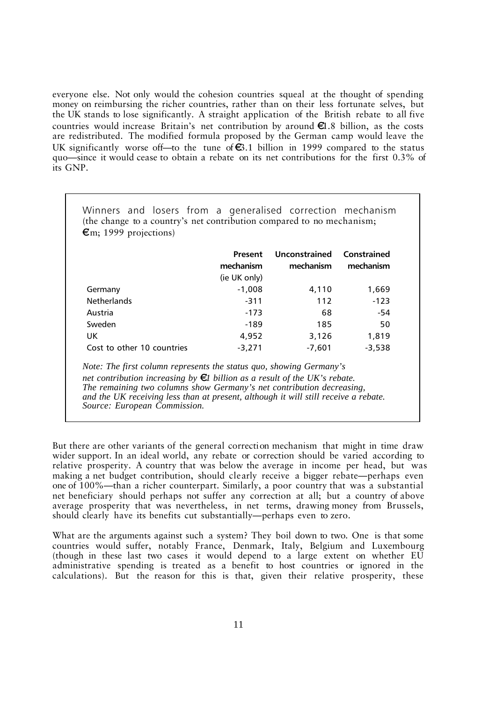everyone else. Not only would the cohesion countries squeal at the thought of spending money on reimbursing the richer countries, rather than on their less fortunate selves, but the UK stands to lose significantly. A straight application of the British rebate to all five countries would increase Britain's net contribution by around  $\epsilon 1.8$  billion, as the costs are redistributed. The modified formula proposed by the German camp would leave the UK significantly worse of t—to the tune of  $\epsilon$ 3.1 billion in 1999 compared to the status quo—since it would cease to obtain a rebate on its net contributions for the first 0.3% of its GNP.

|                            | Present      | Unconstrained Constrained |           |
|----------------------------|--------------|---------------------------|-----------|
|                            | mechanism    | mechanism                 | mechanism |
|                            | (ie UK only) |                           |           |
| Germany                    | $-1,008$     | 4,110                     | 1,669     |
| <b>Netherlands</b>         | $-311$       | 112                       | $-123$    |
| Austria                    | $-173$       | 68                        | -54       |
| Sweden                     | -189         | 185                       | 50        |
| UK.                        | 4,952        | 3,126                     | 1,819     |
| Cost to other 10 countries | $-3.271$     | $-7,601$                  | $-3,538$  |

*net contribution increasing by*  $\epsilon$ *l billion as a result of the UK's rebate. The remaining two columns show Germany's net contribution decreasing, and the UK receiving less than at present, although it will still receive a rebate. Source: European Commission.*

But there are other variants of the general correction mechanism that might in time draw wider support. In an ideal world, any rebate or correction should be varied according to relative prosperity. A country that was below the average in income per head, but was making a net budget contribution, should clearly receive a bigger rebate—perhaps even one of 100%—than a richer counterpart. Similarly, a poor country that was a substantial net beneficiary should perhaps not suffer any correction at all; but a country of above average prosperity that was nevertheless, in net terms, drawing money from Brussels, should clearly have its benefits cut substantially—perhaps even to zero.

What are the arguments against such a system? They boil down to two. One is that some countries would suffer, notably France, Denmark, Italy, Belgium and Luxembourg (though in these last two cases it would depend to a large extent on whether EU administrative spending is treated as a benefit to host countries or ignored in the calculations). But the reason for this is that, given their relative prosperity, these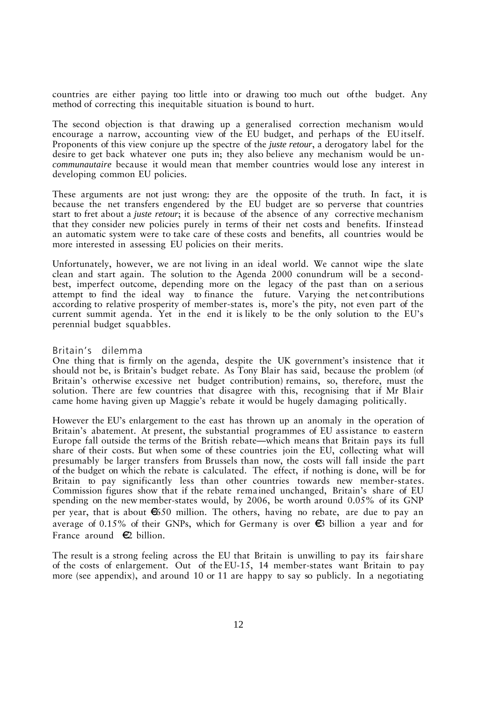countries are either paying too little into or drawing too much out of the budget. Any method of correcting this inequitable situation is bound to hurt.

The second objection is that drawing up a generalised correction mechanism would encourage a narrow, accounting view of the EU budget, and perhaps of the EU itself. Proponents of this view conjure up the spectre of the *juste retour*, a derogatory label for the desire to get back whatever one puts in; they also believe any mechanism would be un*communautaire* because it would mean that member countries would lose any interest in developing common EU policies.

These arguments are not just wrong: they are the opposite of the truth. In fact, it is because the net transfers engendered by the EU budget are so perverse that countries start to fret about a *juste retour*; it is because of the absence of any corrective mechanism that they consider new policies purely in terms of their net costs and benefits. If instead an automatic system were to take care of these costs and benefits, all countries would be more interested in assessing EU policies on their merits.

Unfortunately, however, we are not living in an ideal world. We cannot wipe the slate clean and start again. The solution to the Agenda 2000 conundrum will be a secondbest, imperfect outcome, depending more on the legacy of the past than on a serious attempt to find the ideal way to finance the future. Varying the net contributions according to relative prosperity of member-states is, more's the pity, not even part of the current summit agenda. Yet in the end it is likely to be the only solution to the EU's perennial budget squabbles.

# Britain's dilemma

One thing that is firmly on the agenda, despite the UK government's insistence that it should not be, is Britain's budget rebate. As Tony Blair has said, because the problem (of Britain's otherwise excessive net budget contribution) remains, so, therefore, must the solution. There are few countries that disagree with this, recognising that if Mr Blair came home having given up Maggie's rebate it would be hugely damaging politically.

However the EU's enlargement to the east has thrown up an anomaly in the operation of Britain's abatement. At present, the substantial programmes of EU assistance to eastern Europe fall outside the terms of the British rebate—which means that Britain pays its full share of their costs. But when some of these countries join the EU, collecting what will presumably be larger transfers from Brussels than now, the costs will fall inside the part of the budget on which the rebate is calculated. The effect, if nothing is done, will be for Britain to pay significantly less than other countries towards new member-states. Commission figures show that if the rebate remained unchanged, Britain's share of EU spending on the new member-states would, by 2006, be worth around 0.05% of its GNP per year, that is about  $650$  million. The others, having no rebate, are due to pay an average of 0.15% of their GNPs, which for Germany is over  $\epsilon_3$  billion a year and for France around  $\epsilon$  billion.

The result is a strong feeling across the EU that Britain is unwilling to pay its fair share of the costs of enlargement. Out of the EU-15, 14 member-states want Britain to pay more (see appendix), and around 10 or 11 are happy to say so publicly. In a negotiating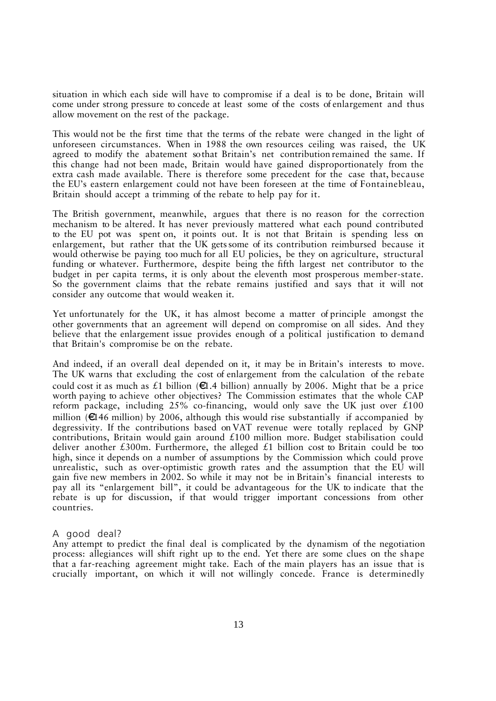situation in which each side will have to compromise if a deal is to be done, Britain will come under strong pressure to concede at least some of the costs of enlargement and thus allow movement on the rest of the package.

This would not be the first time that the terms of the rebate were changed in the light of unforeseen circumstances. When in 1988 the own resources ceiling was raised, the UK agreed to modify the abatement so that Britain's net contribution remained the same. If this change had not been made, Britain would have gained disproportionately from the extra cash made available. There is therefore some precedent for the case that, because the EU's eastern enlargement could not have been foreseen at the time of Fontainebleau, Britain should accept a trimming of the rebate to help pay for it.

The British government, meanwhile, argues that there is no reason for the correction mechanism to be altered. It has never previously mattered what each pound contributed to the EU pot was spent on, it points out. It is not that Britain is spending less on enlargement, but rather that the UK gets some of its contribution reimbursed because it would otherwise be paying too much for all EU policies, be they on agriculture, structural funding or whatever. Furthermore, despite being the fifth largest net contributor to the budget in per capita terms, it is only about the eleventh most prosperous member-state. So the government claims that the rebate remains justified and says that it will not consider any outcome that would weaken it.

Yet unfortunately for the UK, it has almost become a matter of principle amongst the other governments that an agreement will depend on compromise on all sides. And they believe that the enlargement issue provides enough of a political justification to demand that Britain's compromise be on the rebate.

And indeed, if an overall deal depended on it, it may be in Britain's interests to move. The UK warns that excluding the cost of enlargement from the calculation of the rebate could cost it as much as £1 billion ( $\epsilon$ 1.4 billion) annually by 2006. Might that be a price worth paying to achieve other objectives? The Commission estimates that the whole CAP reform package, including  $25\%$  co-financing, would only save the UK just over £100 million ( $\epsilon$ 146 million) by 2006, although this would rise substantially if accompanied by degressivity. If the contributions based on VAT revenue were totally replaced by GNP contributions, Britain would gain around £100 million more. Budget stabilisation could deliver another £300m. Furthermore, the alleged £1 billion cost to Britain could be too high, since it depends on a number of assumptions by the Commission which could prove unrealistic, such as over-optimistic growth rates and the assumption that the EU will gain five new members in 2002. So while it may not be in Britain's financial interests to pay all its "enlargement bill", it could be advantageous for the UK to indicate that the rebate is up for discussion, if that would trigger important concessions from other countries.

# A good deal?

Any attempt to predict the final deal is complicated by the dynamism of the negotiation process: allegiances will shift right up to the end. Yet there are some clues on the shape that a far-reaching agreement might take. Each of the main players has an issue that is crucially important, on which it will not willingly concede. France is determinedly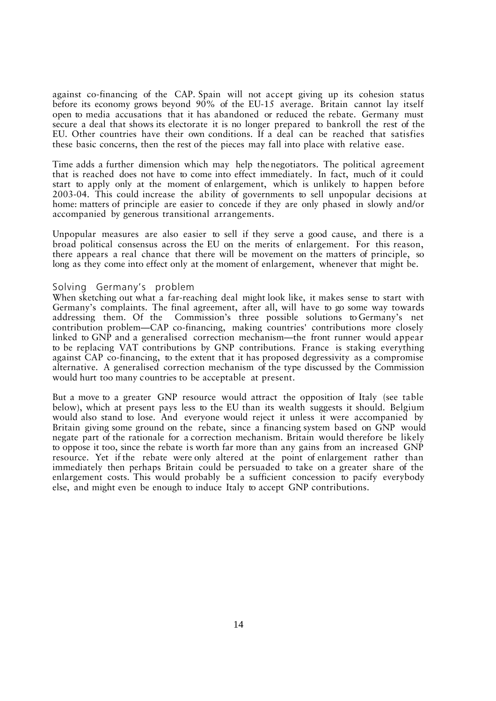against co-financing of the CAP. Spain will not accept giving up its cohesion status before its economy grows beyond 90% of the EU-15 average. Britain cannot lay itself open to media accusations that it has abandoned or reduced the rebate. Germany must secure a deal that shows its electorate it is no longer prepared to bankroll the rest of the EU. Other countries have their own conditions. If a deal can be reached that satisfies these basic concerns, then the rest of the pieces may fall into place with relative ease.

Time adds a further dimension which may help the negotiators. The political agreement that is reached does not have to come into effect immediately. In fact, much of it could start to apply only at the moment of enlargement, which is unlikely to happen before 2003-04. This could increase the ability of governments to sell unpopular decisions at home: matters of principle are easier to concede if they are only phased in slowly and/or accompanied by generous transitional arrangements.

Unpopular measures are also easier to sell if they serve a good cause, and there is a broad political consensus across the EU on the merits of enlargement. For this reason, there appears a real chance that there will be movement on the matters of principle, so long as they come into effect only at the moment of enlargement, whenever that might be.

# Solving Germany's problem

When sketching out what a far-reaching deal might look like, it makes sense to start with Germany's complaints. The final agreement, after all, will have to go some way towards addressing them. Of the Commission's three possible solutions to Germany's net contribution problem—CAP co-financing, making countries' contributions more closely linked to GNP and a generalised correction mechanism—the front runner would appear to be replacing VAT contributions by GNP contributions. France is staking everything against CAP co-financing, to the extent that it has proposed degressivity as a compromise alternative. A generalised correction mechanism of the type discussed by the Commission would hurt too many countries to be acceptable at present.

But a move to a greater GNP resource would attract the opposition of Italy (see table below), which at present pays less to the EU than its wealth suggests it should. Belgium would also stand to lose. And everyone would reject it unless it were accompanied by Britain giving some ground on the rebate, since a financing system based on GNP would negate part of the rationale for a correction mechanism. Britain would therefore be likely to oppose it too, since the rebate is worth far more than any gains from an increased GNP resource. Yet if the rebate were only altered at the point of enlargement rather than immediately then perhaps Britain could be persuaded to take on a greater share of the enlargement costs. This would probably be a sufficient concession to pacify everybody else, and might even be enough to induce Italy to accept GNP contributions.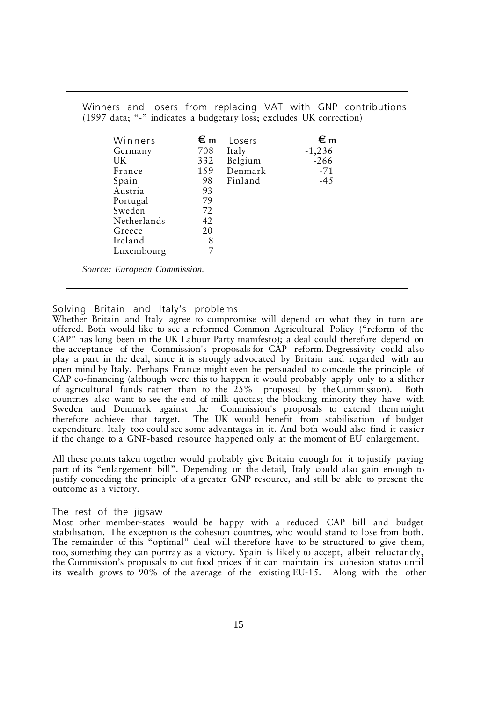| Winners     | $\epsilon_{\rm m}$ | Losers  | $\epsilon_{\rm m}$ |  |
|-------------|--------------------|---------|--------------------|--|
| Germany     | 708                | Italy   | $-1,236$           |  |
| UK          | 332                | Belgium | $-266$             |  |
| France      | 159                | Denmark | $-71$              |  |
| Spain       | 98                 | Finland | $-45$              |  |
| Austria     | 93                 |         |                    |  |
| Portugal    | 79                 |         |                    |  |
| Sweden      | 72                 |         |                    |  |
| Netherlands | 42                 |         |                    |  |
| Greece      | 20                 |         |                    |  |
| Ireland     | 8                  |         |                    |  |
| Luxembourg  | $\overline{7}$     |         |                    |  |

Solving Britain and Italy's problems

Whether Britain and Italy agree to compromise will depend on what they in turn are offered. Both would like to see a reformed Common Agricultural Policy ("reform of the CAP" has long been in the UK Labour Party manifesto); a deal could therefore depend on the acceptance of the Commission's proposals for CAP reform. Degressivity could also play a part in the deal, since it is strongly advocated by Britain and regarded with an open mind by Italy. Perhaps France might even be persuaded to concede the principle of CAP co-financing (although were this to happen it would probably apply only to a slither of agricultural funds rather than to the 25% proposed by the Commission). Both countries also want to see the end of milk quotas; the blocking minority they have with Sweden and Denmark against the Commission's proposals to extend them might therefore achieve that target. The UK would benefit from stabilisation of budget expenditure. Italy too could see some advantages in it. And both would also find it easier if the change to a GNP-based resource happened only at the moment of EU enlargement.

All these points taken together would probably give Britain enough for it to justify paying part of its "enlargement bill". Depending on the detail, Italy could also gain enough to justify conceding the principle of a greater GNP resource, and still be able to present the outcome as a victory.

# The rest of the jigsaw

Most other member-states would be happy with a reduced CAP bill and budget stabilisation. The exception is the cohesion countries, who would stand to lose from both. The remainder of this "optimal" deal will therefore have to be structured to give them, too, something they can portray as a victory. Spain is likely to accept, albeit reluctantly, the Commission's proposals to cut food prices if it can maintain its cohesion status until its wealth grows to 90% of the average of the existing EU-15. Along with the other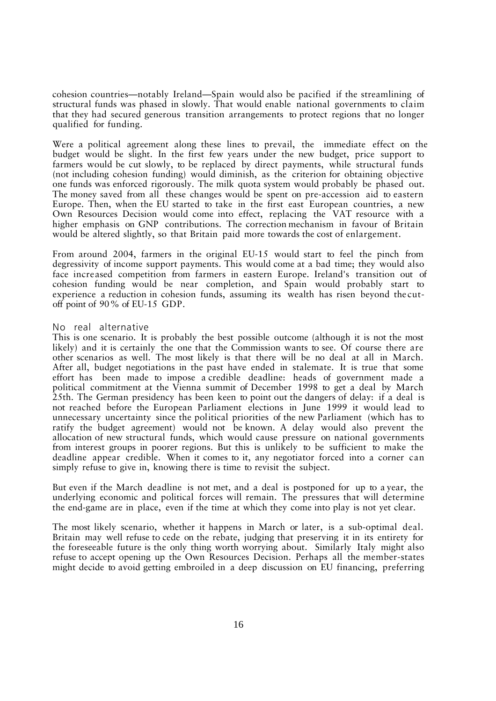cohesion countries—notably Ireland—Spain would also be pacified if the streamlining of structural funds was phased in slowly. That would enable national governments to claim that they had secured generous transition arrangements to protect regions that no longer qualified for funding.

Were a political agreement along these lines to prevail, the immediate effect on the budget would be slight. In the first few years under the new budget, price support to farmers would be cut slowly, to be replaced by direct payments, while structural funds (not including cohesion funding) would diminish, as the criterion for obtaining objective one funds was enforced rigorously. The milk quota system would probably be phased out. The money saved from all these changes would be spent on pre-accession aid to eastern Europe. Then, when the EU started to take in the first east European countries, a new Own Resources Decision would come into effect, replacing the VAT resource with a higher emphasis on GNP contributions. The correction mechanism in favour of Britain would be altered slightly, so that Britain paid more towards the cost of enlargement.

From around 2004, farmers in the original EU-15 would start to feel the pinch from degressivity of income support payments. This would come at a bad time; they would also face increased competition from farmers in eastern Europe. Ireland's transition out of cohesion funding would be near completion, and Spain would probably start to experience a reduction in cohesion funds, assuming its wealth has risen beyond the cutoff point of 90% of EU-15 GDP.

# No real alternative

This is one scenario. It is probably the best possible outcome (although it is not the most likely) and it is certainly the one that the Commission wants to see. Of course there are other scenarios as well. The most likely is that there will be no deal at all in March. After all, budget negotiations in the past have ended in stalemate. It is true that some effort has been made to impose a credible deadline: heads of government made a political commitment at the Vienna summit of December 1998 to get a deal by March 25th. The German presidency has been keen to point out the dangers of delay: if a deal is not reached before the European Parliament elections in June 1999 it would lead to unnecessary uncertainty since the political priorities of the new Parliament (which has to ratify the budget agreement) would not be known. A delay would also prevent the allocation of new structural funds, which would cause pressure on national governments from interest groups in poorer regions. But this is unlikely to be sufficient to make the deadline appear credible. When it comes to it, any negotiator forced into a corner can simply refuse to give in, knowing there is time to revisit the subject.

But even if the March deadline is not met, and a deal is postponed for up to a year, the underlying economic and political forces will remain. The pressures that will determine the end-game are in place, even if the time at which they come into play is not yet clear.

The most likely scenario, whether it happens in March or later, is a sub-optimal deal. Britain may well refuse to cede on the rebate, judging that preserving it in its entirety for the foreseeable future is the only thing worth worrying about. Similarly Italy might also refuse to accept opening up the Own Resources Decision. Perhaps all the member-states might decide to avoid getting embroiled in a deep discussion on EU financing, preferring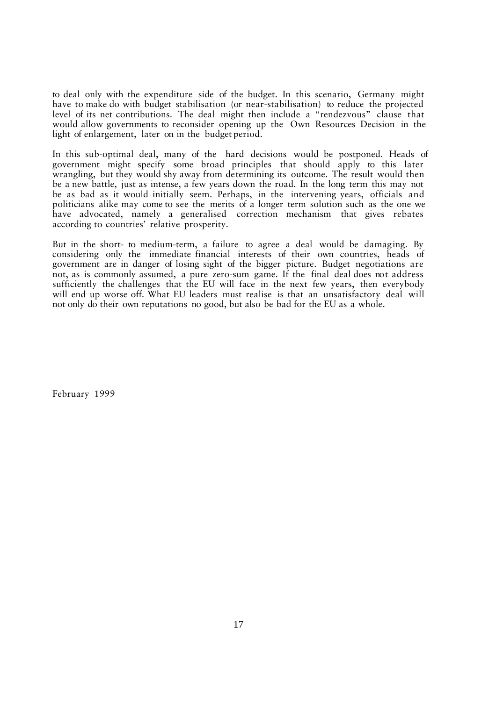to deal only with the expenditure side of the budget. In this scenario, Germany might have to make do with budget stabilisation (or near-stabilisation) to reduce the projected level of its net contributions. The deal might then include a "rendezvous" clause that would allow governments to reconsider opening up the Own Resources Decision in the light of enlargement, later on in the budget period.

In this sub-optimal deal, many of the hard decisions would be postponed. Heads of government might specify some broad principles that should apply to this later wrangling, but they would shy away from determining its outcome. The result would then be a new battle, just as intense, a few years down the road. In the long term this may not be as bad as it would initially seem. Perhaps, in the intervening years, officials and politicians alike may come to see the merits of a longer term solution such as the one we have advocated, namely a generalised correction mechanism that gives rebates according to countries' relative prosperity.

But in the short- to medium-term, a failure to agree a deal would be damaging. By considering only the immediate financial interests of their own countries, heads of government are in danger of losing sight of the bigger picture. Budget negotiations are not, as is commonly assumed, a pure zero-sum game. If the final deal does not address sufficiently the challenges that the EU will face in the next few years, then everybody will end up worse off. What EU leaders must realise is that an unsatisfactory deal will not only do their own reputations no good, but also be bad for the EU as a whole.

February 1999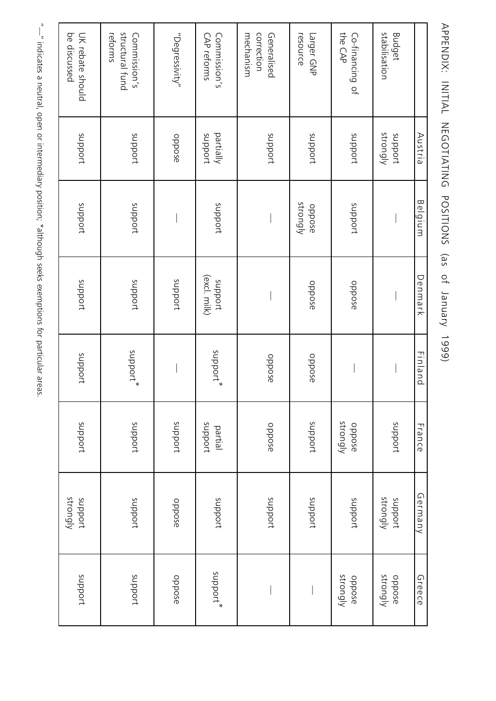| $\bigg $                                                 |
|----------------------------------------------------------|
| ・リート)<br>リーリー<br>-                                       |
| )<br>)<br>                                               |
|                                                          |
| Ī<br>ļ                                                   |
| こくこく<br>i<br><b>.</b><br>.                               |
|                                                          |
| Ì<br>֖֖֖֖֚֚֚֚֚֚֬                                         |
| $\frac{2}{3}$                                            |
| ייטו לומות הארי בעבוו המונח האם כשפפי ווהמחים.<br>うせいりょう |
|                                                          |
| 5                                                        |
| コンピュント                                                   |

| anpport            | strongly<br>anpport | anpocht            | anpport  | anpodt                  | anpodt             | anpport              | be discussed<br>UK rebate should           |
|--------------------|---------------------|--------------------|----------|-------------------------|--------------------|----------------------|--------------------------------------------|
| anpport            | anpodt              | anpport            | aupport* | proddns                 | anpport            | anpport              | structural fund<br>reforms<br>Commission's |
| oppose             | oppose              | anpport            |          | anpport                 |                    | oppose               | "Vegressivity"                             |
| aupport*           | anpport             | anpport<br>partial | support* | (excl. milk)<br>anpport | anpport            | partially<br>anpport | Commission's<br>CAP reforms                |
|                    | anpport             | oppose             | oppose   |                         |                    | anpport              | correction<br>mechanism<br>Generalised     |
|                    | anpport             | anpport            | oppose   | oppose                  | strongly<br>oppose | anpport              | resource<br>Larger GNP                     |
| strongly<br>oppose | anpport             | strongly<br>oppose |          | oppose                  | anpport            | anpport              | the CAP<br>Co-financing of                 |
| strongly<br>oppose | strongly<br>anpocrt | anpport            |          |                         |                    | strongly<br>proddns  | stabilisation<br><b>Budget</b>             |
| Greece             | Germany             | France             | Finland  | Denmark                 | Belgium            | Austria              |                                            |

APPENN: INITIAL NEGOTIATING POSITIONS (as of January 1999) APPENDIX: INITIAL NEGOTIATING POSITIONS (as of January 1999)